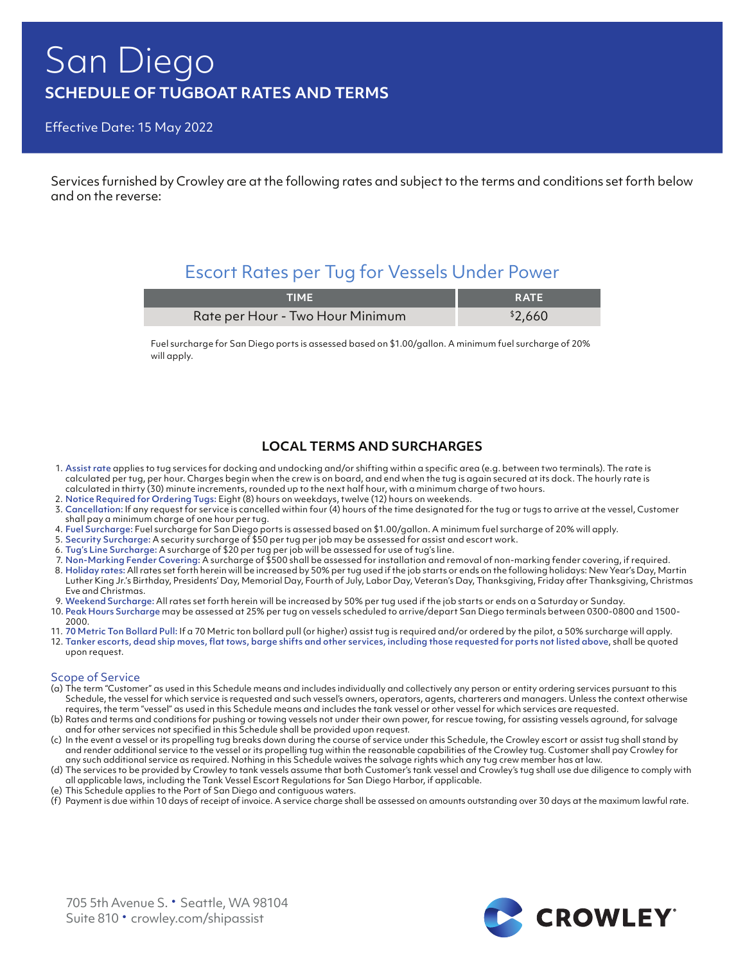# San Diego **SCHEDULE OF TUGBOAT RATES AND TERMS**

Effective Date: 15 May 2022

Services furnished by Crowley are at the following rates and subject to the terms and conditions set forth below and on the reverse:

## Escort Rates per Tug for Vessels Under Power

| <b>TIME</b>                      | <b>RATE</b> |
|----------------------------------|-------------|
| Rate per Hour - Two Hour Minimum | \$2,660     |

Fuel surcharge for San Diego ports is assessed based on \$1.00/gallon. A minimum fuel surcharge of 20% will apply.

### **LOCAL TERMS AND SURCHARGES**

- 1. Assist rate applies to tug services for docking and undocking and/or shifting within a specific area (e.g. between two terminals). The rate is calculated per tug, per hour. Charges begin when the crew is on board, and end when the tug is again secured at its dock. The hourly rate is calculated in thirty (30) minute increments, rounded up to the next half hour, with a minimum charge of two hours.
- 2. Notice Required for Ordering Tugs: Eight (8) hours on weekdays, twelve (12) hours on weekends.
- 3. Cancellation: If any request for service is cancelled within four (4) hours of the time designated for the tug or tugs to arrive at the vessel, Customer shall pay a minimum charge of one hour per tug.
- 4. Fuel Surcharge: Fuel surcharge for San Diego ports is assessed based on \$1.00/gallon. A minimum fuel surcharge of 20% will apply.
- 5. Security Surcharge: A security surcharge of \$50 per tug per job may be assessed for assist and escort work.
- 6. Tug's Line Surcharge: A surcharge of \$20 per tug per job will be assessed for use of tug's line.
- 7. Non-Marking Fender Covering: A surcharge of \$500 shall be assessed for installation and removal of non-marking fender covering, if required.
- 8. Holiday rates: All rates set forth herein will be increased by 50% per tug used if the job starts or ends on the following holidays: New Year's Day, Martin Luther King Jr.'s Birthday, Presidents' Day, Memorial Day, Fourth of July, Labor Day, Veteran's Day, Thanksgiving, Friday after Thanksgiving, Christmas Eve and Christmas.
- 9. Weekend Surcharge: All rates set forth herein will be increased by 50% per tug used if the job starts or ends on a Saturday or Sunday.
- 10. Peak Hours Surcharge may be assessed at 25% per tug on vessels scheduled to arrive/depart San Diego terminals between 0300-0800 and 1500- 2000.
- 11. 70 Metric Ton Bollard Pull: If a 70 Metric ton bollard pull (or higher) assist tug is required and/or ordered by the pilot, a 50% surcharge will apply.
- 12. Tanker escorts, dead ship moves, flat tows, barge shifts and other services, including those requested for ports not listed above, shall be quoted upon request.

#### Scope of Service

- (a) The term "Customer" as used in this Schedule means and includes individually and collectively any person or entity ordering services pursuant to this Schedule, the vessel for which service is requested and such vessel's owners, operators, agents, charterers and managers. Unless the context otherwise requires, the term "vessel" as used in this Schedule means and includes the tank vessel or other vessel for which services are requested.
- (b) Rates and terms and conditions for pushing or towing vessels not under their own power, for rescue towing, for assisting vessels aground, for salvage and for other services not specified in this Schedule shall be provided upon request.
- (c) In the event a vessel or its propelling tug breaks down during the course of service under this Schedule, the Crowley escort or assist tug shall stand by and render additional service to the vessel or its propelling tug within the reasonable capabilities of the Crowley tug. Customer shall pay Crowley for any such additional service as required. Nothing in this Schedule waives the salvage rights which any tug crew member has at law.
- (d) The services to be provided by Crowley to tank vessels assume that both Customer's tank vessel and Crowley's tug shall use due diligence to comply with all applicable laws, including the Tank Vessel Escort Regulations for San Diego Harbor, if applicable.
- (e) This Schedule applies to the Port of San Diego and contiguous waters.
- (f) Payment is due within 10 days of receipt of invoice. A service charge shall be assessed on amounts outstanding over 30 days at the maximum lawful rate.

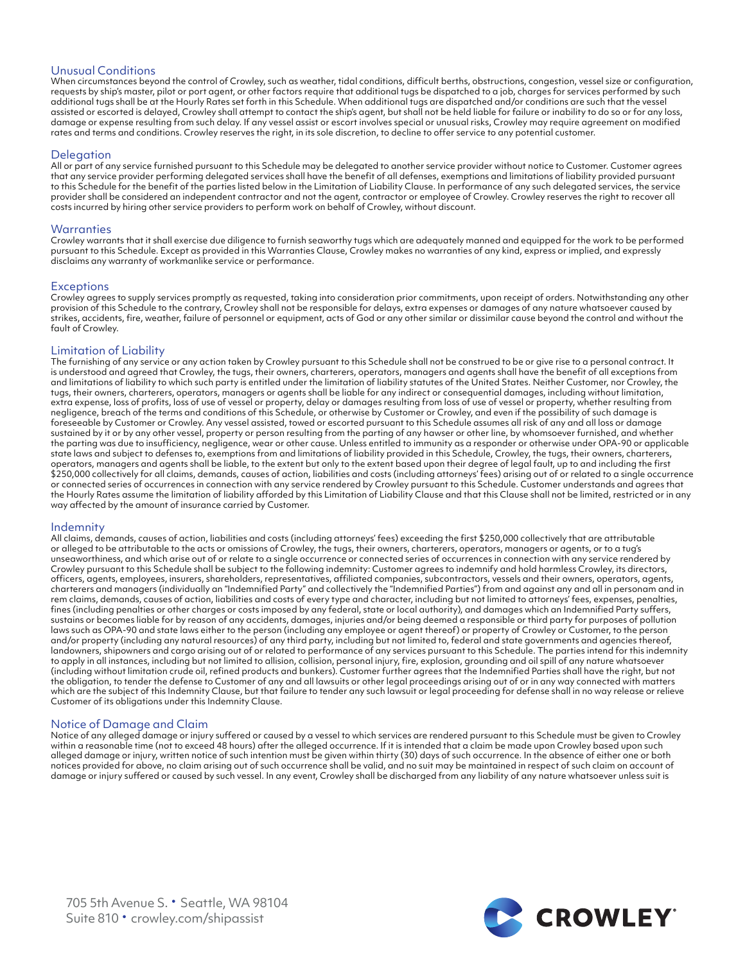#### Unusual Conditions

When circumstances beyond the control of Crowley, such as weather, tidal conditions, difficult berths, obstructions, congestion, vessel size or configuration, requests by ship's master, pilot or port agent, or other factors require that additional tugs be dispatched to a job, charges for services performed by such additional tugs shall be at the Hourly Rates set forth in this Schedule. When additional tugs are dispatched and/or conditions are such that the vessel assisted or escorted is delayed, Crowley shall attempt to contact the ship's agent, but shall not be held liable for failure or inability to do so or for any loss, damage or expense resulting from such delay. If any vessel assist or escort involves special or unusual risks, Crowley may require agreement on modified rates and terms and conditions. Crowley reserves the right, in its sole discretion, to decline to offer service to any potential customer.

#### Delegation

All or part of any service furnished pursuant to this Schedule may be delegated to another service provider without notice to Customer. Customer agrees that any service provider performing delegated services shall have the benefit of all defenses, exemptions and limitations of liability provided pursuant to this Schedule for the benefit of the parties listed below in the Limitation of Liability Clause. In performance of any such delegated services, the service provider shall be considered an independent contractor and not the agent, contractor or employee of Crowley. Crowley reserves the right to recover all costs incurred by hiring other service providers to perform work on behalf of Crowley, without discount.

#### Warranties

Crowley warrants that it shall exercise due diligence to furnish seaworthy tugs which are adequately manned and equipped for the work to be performed pursuant to this Schedule. Except as provided in this Warranties Clause, Crowley makes no warranties of any kind, express or implied, and expressly disclaims any warranty of workmanlike service or performance.

#### **Exceptions**

Crowley agrees to supply services promptly as requested, taking into consideration prior commitments, upon receipt of orders. Notwithstanding any other provision of this Schedule to the contrary, Crowley shall not be responsible for delays, extra expenses or damages of any nature whatsoever caused by strikes, accidents, fire, weather, failure of personnel or equipment, acts of God or any other similar or dissimilar cause beyond the control and without the fault of Crowley.

#### Limitation of Liability

The furnishing of any service or any action taken by Crowley pursuant to this Schedule shall not be construed to be or give rise to a personal contract. It is understood and agreed that Crowley, the tugs, their owners, charterers, operators, managers and agents shall have the benefit of all exceptions from and limitations of liability to which such party is entitled under the limitation of liability statutes of the United States. Neither Customer, nor Crowley, the tugs, their owners, charterers, operators, managers or agents shall be liable for any indirect or consequential damages, including without limitation, extra expense, loss of profits, loss of use of vessel or property, delay or damages resulting from loss of use of vessel or property, whether resulting from negligence, breach of the terms and conditions of this Schedule, or otherwise by Customer or Crowley, and even if the possibility of such damage is foreseeable by Customer or Crowley. Any vessel assisted, towed or escorted pursuant to this Schedule assumes all risk of any and all loss or damage sustained by it or by any other vessel, property or person resulting from the parting of any hawser or other line, by whomsoever furnished, and whether the parting was due to insufficiency, negligence, wear or other cause. Unless entitled to immunity as a responder or otherwise under OPA-90 or applicable state laws and subject to defenses to, exemptions from and limitations of liability provided in this Schedule, Crowley, the tugs, their owners, charterers, operators, managers and agents shall be liable, to the extent but only to the extent based upon their degree of legal fault, up to and including the first \$250,000 collectively for all claims, demands, causes of action, liabilities and costs (including attorneys' fees) arising out of or related to a single occurrence or connected series of occurrences in connection with any service rendered by Crowley pursuant to this Schedule. Customer understands and agrees that the Hourly Rates assume the limitation of liability afforded by this Limitation of Liability Clause and that this Clause shall not be limited, restricted or in any way affected by the amount of insurance carried by Customer.

#### Indemnity

All claims, demands, causes of action, liabilities and costs (including attorneys' fees) exceeding the first \$250,000 collectively that are attributable or alleged to be attributable to the acts or omissions of Crowley, the tugs, their owners, charterers, operators, managers or agents, or to a tug's unseaworthiness, and which arise out of or relate to a single occurrence or connected series of occurrences in connection with any service rendered by Crowley pursuant to this Schedule shall be subject to the following indemnity: Customer agrees to indemnify and hold harmless Crowley, its directors, officers, agents, employees, insurers, shareholders, representatives, affiliated companies, subcontractors, vessels and their owners, operators, agents, charterers and managers (individually an "Indemnified Party" and collectively the "Indemnified Parties") from and against any and all in personam and in rem claims, demands, causes of action, liabilities and costs of every type and character, including but not limited to attorneys' fees, expenses, penalties, fines (including penalties or other charges or costs imposed by any federal, state or local authority), and damages which an Indemnified Party suffers, sustains or becomes liable for by reason of any accidents, damages, injuries and/or being deemed a responsible or third party for purposes of pollution laws such as OPA-90 and state laws either to the person (including any employee or agent thereof) or property of Crowley or Customer, to the person and/or property (including any natural resources) of any third party, including but not limited to, federal and state governments and agencies thereof, landowners, shipowners and cargo arising out of or related to performance of any services pursuant to this Schedule. The parties intend for this indemnity to apply in all instances, including but not limited to allision, collision, personal injury, fire, explosion, grounding and oil spill of any nature whatsoever (including without limitation crude oil, refined products and bunkers). Customer further agrees that the Indemnified Parties shall have the right, but not the obligation, to tender the defense to Customer of any and all lawsuits or other legal proceedings arising out of or in any way connected with matters which are the subject of this Indemnity Clause, but that failure to tender any such lawsuit or legal proceeding for defense shall in no way release or relieve Customer of its obligations under this Indemnity Clause.

#### Notice of Damage and Claim

Notice of any alleged damage or injury suffered or caused by a vessel to which services are rendered pursuant to this Schedule must be given to Crowley within a reasonable time (not to exceed 48 hours) after the alleged occurrence. If it is intended that a claim be made upon Crowley based upon such alleged damage or injury, written notice of such intention must be given within thirty (30) days of such occurrence. In the absence of either one or both notices provided for above, no claim arising out of such occurrence shall be valid, and no suit may be maintained in respect of such claim on account of damage or injury suffered or caused by such vessel. In any event, Crowley shall be discharged from any liability of any nature whatsoever unless suit is